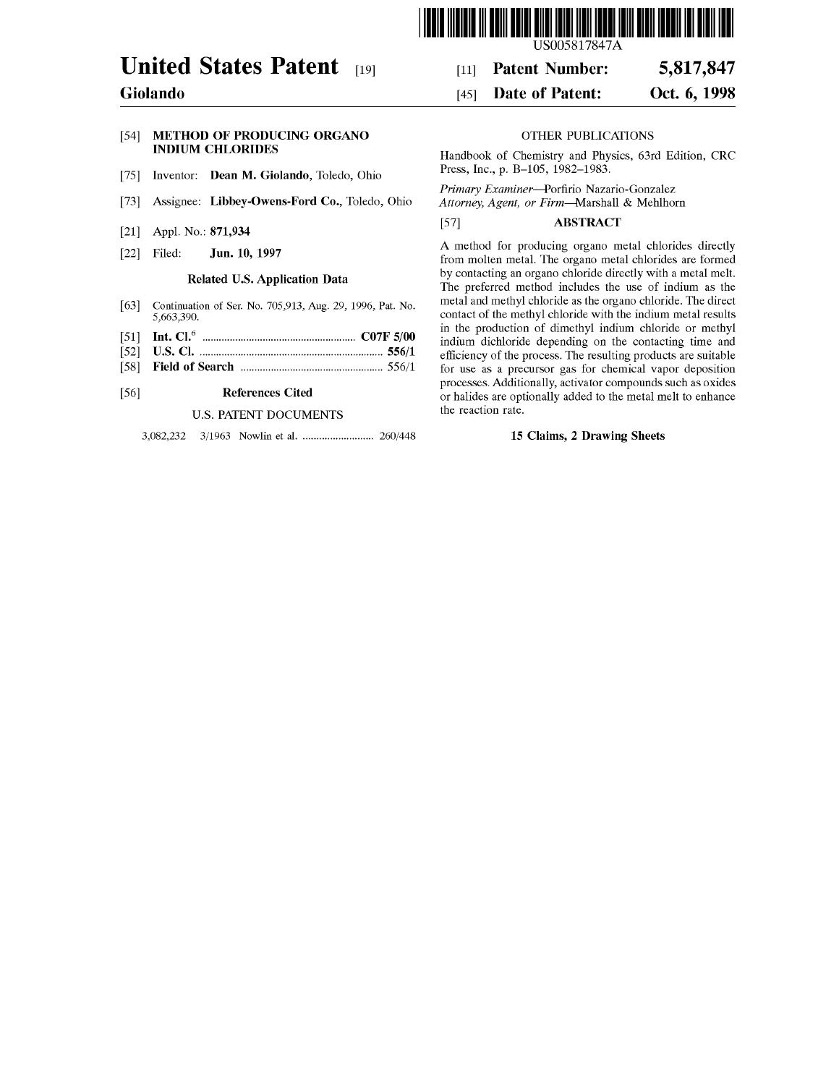

# **United States Patent** [19J

# **Giolando**

# [54] **METHOD OF PRODUCING ORGANO INDIUM CHLORIDES**

- [75] Inventor: **Dean M. Giolando,** Toledo, Ohio
- [73] Assignee: **Libbey-Owens-Ford Co.,** Toledo, Ohio
- [21] Appl. No.: **871,934**
- [22] Filed: Filed: **Jun. 10, 1997**

# **Related U.S. Application Data**

- [63] Continuation of Ser. No. 705,913, Aug. 29, 1996, Pat. No. 5,663,390.
- [51] **Int. Cl.<sup>6</sup>**........................................................ **C07F 5/00**
- [52] [58] **U.S. Cl.** ................................................................... **556/1 Field of Search** .................................................... 556/1
- 

#### [56] **References Cited**

# U.S. PATENT DOCUMENTS

3,082,232 3/1963 Nowlin et al. .......................... 260/448

US005817847A

#### [11] **Patent Number: 5,817,847**

#### [45] **Date of Patent: Oct. 6, 1998**

# OTHER PUBLICATIONS

Handbook of Chemistry and Physics, 63rd Edition, CRC Press, Inc., p. B-105, 1982-1983.

*Primary Examiner-Porfirio* Nazario-Gonzalez

*Attorney, Agent, or* Firm-Marshall & Mehlhorn

# [57] **ABSTRACT**

A method for producing organo metal chlorides directly from molten metal. The organo metal chlorides are formed by contacting an organo chloride directly with a metal melt. The preferred method includes the use of indium as the metal and methyl chloride as the organo chloride. The direct contact of the methyl chloride with the indium metal results in the production of dimethyl indium chloride or methyl indium dichloride depending on the contacting time and efficiency of the process. The resulting products are suitable for use as a precursor gas for chemical vapor deposition processes. Additionally, activator compounds such as oxides or halides are optionally added to the metal melt to enhance the reaction rate.

# **15 Claims, 2 Drawing Sheets**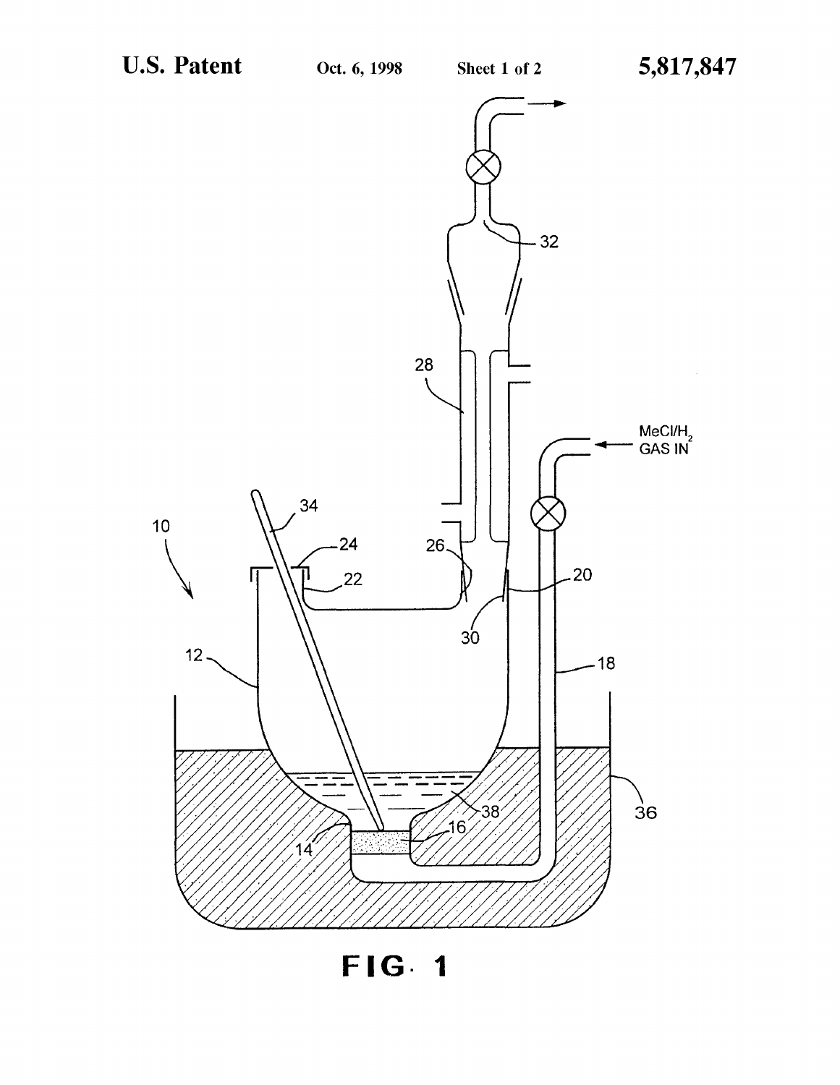

**FIG- 1**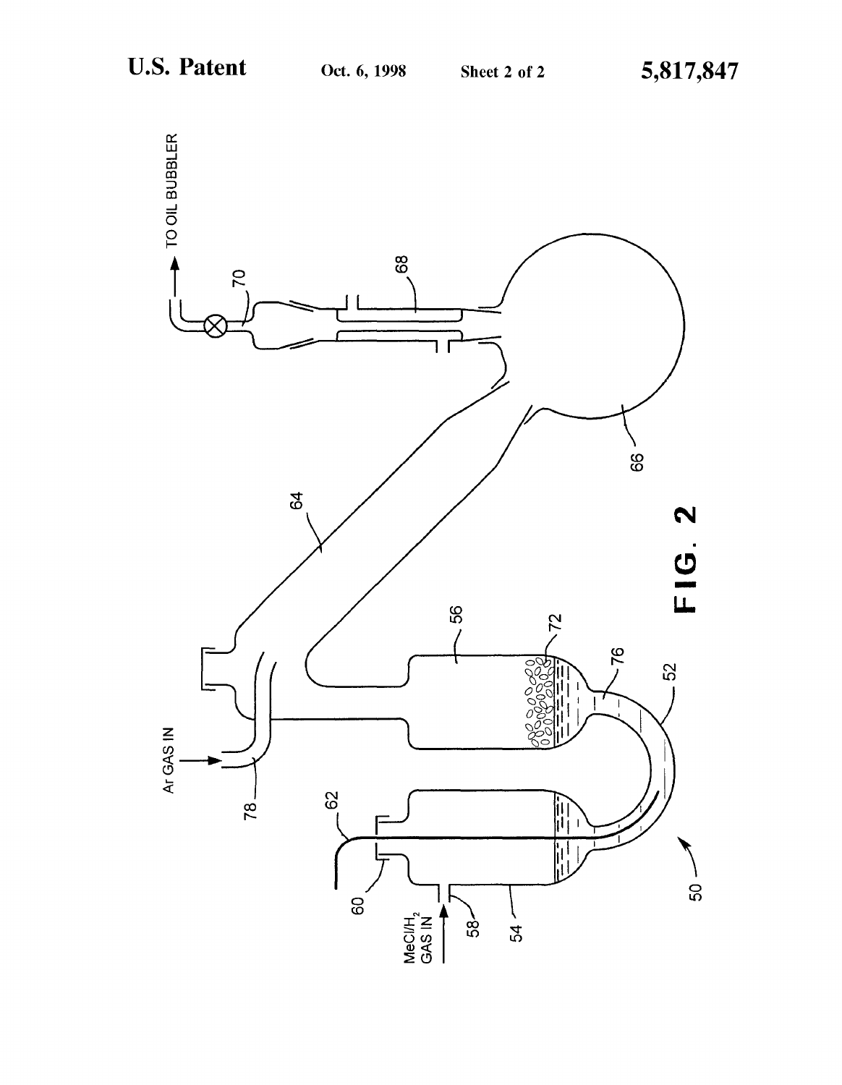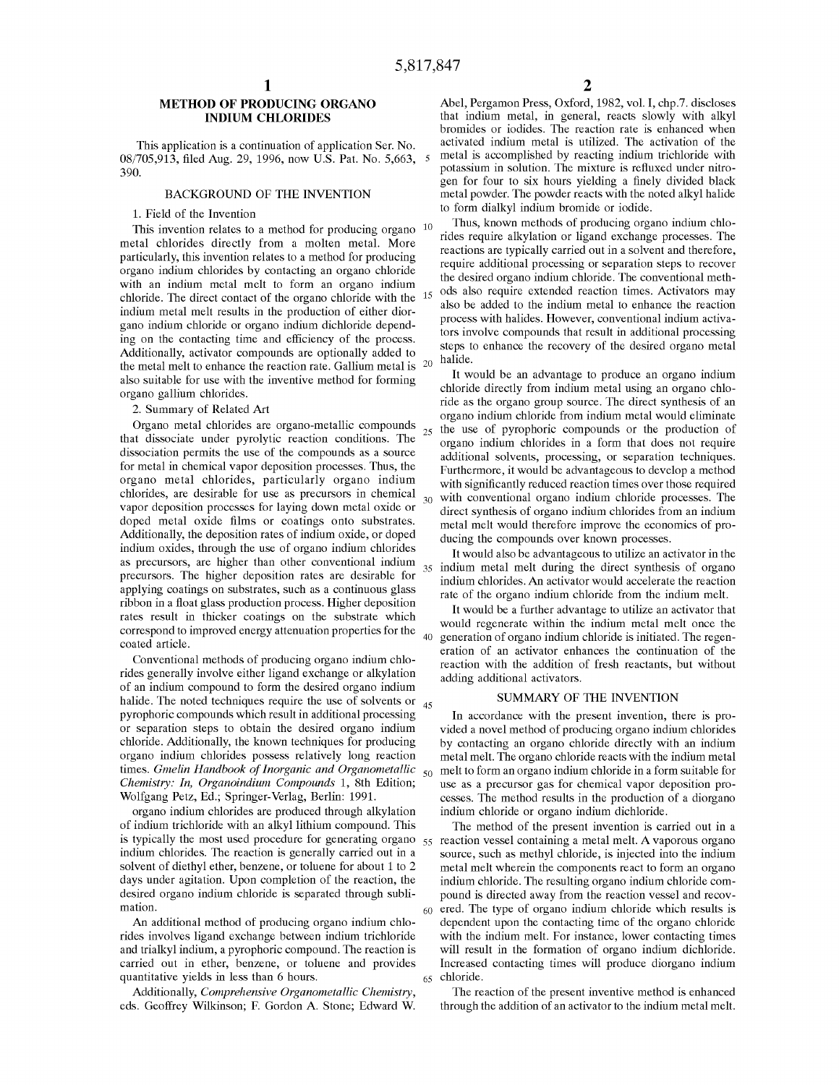# **METHOD OF PRODUCING ORGANO INDIUM CHLORIDES**

This application is a continuation of application Ser. No. 08/705,913, filed Aug. 29, 1996, now U.S. Pat. No. 5,663, 5 390.

#### BACKGROUND OF THE INVENTION

## 1. Field of the Invention

This invention relates to a method for producing organo  $10$ metal chlorides directly from a molten metal. More particularly, this invention relates to a method for producing organo indium chlorides by contacting an organo chloride with an indium metal melt to form an organo indium chloride. The direct contact of the organo chloride with the indium metal melt results in the production of either diorgano indium chloride or organo indium dichloride depending on the contacting time and efficiency of the process. Additionally, activator compounds are optionally added to the metal melt to enhance the reaction rate. Gallium metal is 20 also suitable for use with the inventive method for forming organo gallium chlorides.

2. Summary of Related Art

Organo metal chlorides are organo-metallic compounds that dissociate under pyrolytic reaction conditions. The dissociation permits the use of the compounds as a source for metal in chemical vapor deposition processes. Thus, the organo metal chlorides, particularly organo indium chlorides, are desirable for use as precursors in chemical vapor deposition processes for laying down metal oxide or doped metal oxide films or coatings onto substrates. Additionally, the deposition rates of indium oxide, or doped indium oxides, through the use of organo indium chlorides as precursors, are higher than other conventional indium precursors. The higher deposition rates are desirable for applying coatings on substrates, such as a continuous glass ribbon in a float glass production process. Higher deposition rates result in thicker coatings on the substrate which correspond to improved energy attenuation properties for the  $40$  coated article.

Conventional methods of producing organo indium chlorides generally involve either ligand exchange or alkylation of an indium compound to form the desired organo indium halide. The noted techniques require the use of solvents or  $_{45}$ pyrophoric compounds which result in additional processing or separation steps to obtain the desired organo indium chloride. Additionally, the known techniques for producing organo indium chlorides possess relatively long reaction times. *Gmelin Handbook of Inorganic and Organometallic* <sup>50</sup> melt to form an organo indium chloride in a form suitable for *Chemistry: In, Organoindium Compounds* l, 8th Edition; Wolfgang Petz, Ed.; Springer-Verlag, Berlin: 1991.

organo indium chlorides are produced through alkylation of indium trichloride with an alkyl lithium compound. This indium chlorides. The reaction is generally carried out in a solvent of diethyl ether, benzene, or toluene for about 1 to 2 days under agitation. Upon completion of the reaction, the desired organo indium chloride is separated through subli-

An additional method of producing organo indium chlorides involves ligand exchange between indium trichloride and trialkyl indium, a pyrophoric compound. The reaction is carried out in ether, benzene, or toluene and provides quantitative yields in less than 6 hours.

Additionally, *Comprehensive Organometallic Chemistry,*  eds. Geoffrey Wilkinson; F. Gordon A. Stone; Edward W.

Abel, Pergamon Press, Oxford, 1982, vol. I, chp.7. discloses that indium metal, in general, reacts slowly with alkyl bromides or iodides. The reaction rate is enhanced when activated indium metal is utilized. The activation of the metal is accomplished by reacting indium trichloride with potassium in solution. The mixture is refluxed under nitrogen for four to six hours yielding a finely divided black metal powder. The powder reacts with the noted alkyl halide to form dialkyl indium bromide or iodide.

Thus, known methods of producing organo indium chlorides require alkylation or ligand exchange processes. The reactions are typically carried out in a solvent and therefore, require additional processing or separation steps to recover the desired organo indium chloride. The conventional meth-<sub>15</sub> ods also require extended reaction times. Activators may also be added to the indium metal to enhance the reaction process with halides. However, conventional indium activators involve compounds that result in additional processing steps to enhance the recovery of the desired organo metal halide.

It would be an advantage to produce an organo indium chloride directly from indium metal using an organo chloride as the organo group source. The direct synthesis of an organo indium chloride from indium metal would eliminate the use of pyrophoric compounds or the production of organo indium chlorides in a form that does not require additional solvents, processing, or separation techniques. Furthermore, it would be advantageous to develop a method with significantly reduced reaction times over those required 30 with conventional organo indium chloride processes. The direct synthesis of organo indium chlorides from an indium metal melt would therefore improve the economics of producing the compounds over known processes.

It would also be advantageous to utilize an activator in the 35 indium metal melt during the direct synthesis of organo indium chlorides. An activator would accelerate the reaction rate of the organo indium chloride from the indium melt.

It would be a further advantage to utilize an activator that would regenerate within the indium metal melt once the generation of organo indium chloride is initiated. The regeneration of an activator enhances the continuation of the reaction with the addition of fresh reactants, but without adding additional activators.

#### **SUMMARY OF THE INVENTION**

In accordance with the present invention, there is provided a novel method of producing organo indium chlorides by contacting an organo chloride directly with an indium metal melt. The organo chloride reacts with the indium metal use as a precursor gas for chemical vapor deposition processes. The method results in the production of a diorgano indium chloride or organo indium dichloride.

The method of the present invention is carried out in a is typically the most used procedure for generating organo  $55$  reaction vessel containing a metal melt. A vaporous organo source, such as methyl chloride, is injected into the indium metal melt wherein the components react to form an organo indium chloride. The resulting organo indium chloride compound is directed away from the reaction vessel and recovmation. 60 ered. The type of organo indium chloride which results is dependent upon the contacting time of the organo chloride with the indium melt. For instance, lower contacting times will result in the formation of organo indium dichloride. Increased contacting times will produce diorgano indium 65 chloride.

> The reaction of the present inventive method is enhanced through the addition of an activator to the indium metal melt.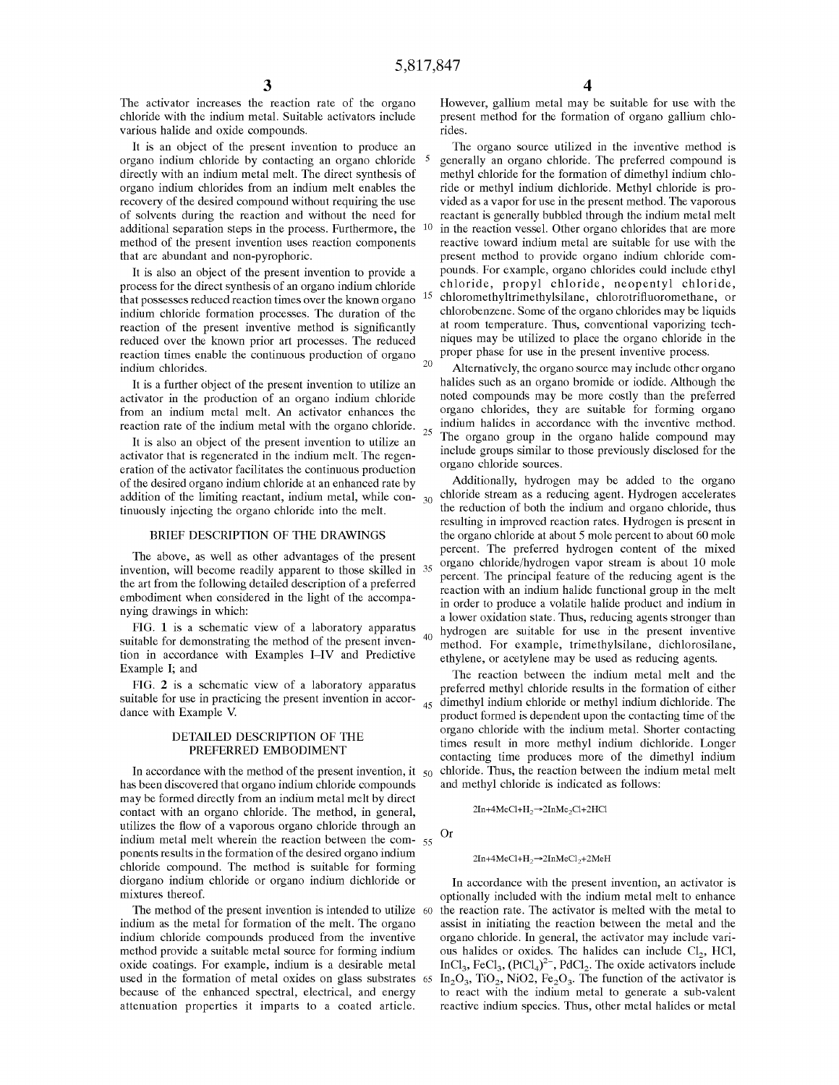The activator increases the reaction rate of the organo chloride with the indium metal. Suitable activators include various halide and oxide compounds.

It is an object of the present invention to produce an organo indium chloride by contacting an organo chloride directly with an indium metal melt. The direct synthesis of organo indium chlorides from an indium melt enables the recovery of the desired compound without requiring the use of solvents during the reaction and without the need for additional separation steps in the process. Furthermore, the method of the present invention uses reaction components that are abundant and non-pyrophoric.

It is also an object of the present invention to provide a process for the direct synthesis of an organo indium chloride that possesses reduced reaction times over the known organo indium chloride formation processes. The duration of the reaction of the present inventive method is significantly reduced over the known prior art processes. The reduced reaction times enable the continuous production of organo indium chlorides.<br>and the community, the organo source may include other organo indium chlorides.

activator in the production of an organo indium chloride from an indium metal melt. An activator enhances the

reaction rate of the indium metal with the organo chloride.<br>It is also an object of the present invention to utilize an activator that is regenerated in the indium melt. The regeneration of the activator facilitates the continuous production of the desired organo indium chloride at an enhanced rate by addition of the limiting reactant, indium metal, while con- $_{30}$ tinuously injecting the organo chloride into the melt.

#### **BRIEF DESCRIPTION OF THE DRAWINGS**

The above, as well as other advantages of the present invention, will become readily apparent to those skilled in <sup>35</sup> the art from the following detailed description of a preferred embodiment when considered in the light of the accompanying drawings in which:

FIG. 1 is a schematic view of a laboratory apparatus suitable for demonstrating the method of the present inven-  $40$ tion in accordance with Examples I-IV and Predictive Example I; and

FIG. 2 is a schematic view of a laboratory apparatus suitable for use in practicing the present invention in accor-<br>dance with Example V.

### **DETAILED DESCRIPTION OF THE PREFERRED EMBODIMENT**

In accordance with the method of the present invention, it  $_{50}$ has been discovered that organo indium chloride compounds may be formed directly from an indium metal melt by direct contact with an organo chloride. The method, in general, utilizes the flow of a vaporous organo chloride through an indium metal melt wherein the reaction between the com- $_{55}$  Or ponents results in the formation of the desired organo indium  $2In+4MeCl+H_2\rightarrow2InMeCl_2+2MeH$ chloride compound. The method is suitable for forming diorgano indium chloride or organo indium dichloride or mixtures thereof.

indium as the metal for formation of the melt. The organo indium chloride compounds produced from the inventive method provide a suitable metal source for forming indium oxide coatings. For example, indium is a desirable metal used in the formation of metal oxides on glass substrates 65 because of the enhanced spectral, electrical, and energy attenuation properties it imparts to a coated article.

However, gallium metal may be suitable for use with the present method for the formation of organo gallium chlorides.

The organo source utilized in the inventive method is 5 generally an organo chloride. The preferred compound is methyl chloride for the formation of dimethyl indium chloride or methyl indium dichloride. Methyl chloride is provided as a vapor for use in the present method. The vaporous reactant is generally bubbled through the indium metal melt 10 in the reaction vessel. Other organo chlorides that are more reactive toward indium metal are suitable for use with the present method to provide organo indium chloride compounds. For example, organo chlorides could include ethyl chloride, propyl chloride, neopentyl chloride, 15 chloromethyltrimethylsilane, chlorotrifluoromethane, or chlorobenzene. Some of the organo chlorides may be liquids at room temperature. Thus, conventional vaporizing techniques may be utilized to place the organo chloride in the proper phase for use in the present inventive process.

It is a further object of the present invention to utilize an halides such as an organo bromide or iodide. Although the noted compounds may be more costly than the preferred organo chlorides, they are suitable for forming organo indium halides in accordance with the inventive method. The organo group in the organo halide compound may include groups similar to those previously disclosed for the organo chloride sources.

> Additionally, hydrogen may be added to the organo chloride stream as a reducing agent. Hydrogen accelerates the reduction of both the indium and organo chloride, thus resulting in improved reaction rates. Hydrogen is present in the organo chloride at about 5 mole percent to about 60 mole percent. The preferred hydrogen content of the mixed organo chloride/hydrogen vapor stream is about 10 mole percent. The principal feature of the reducing agent is the reaction with an indium halide functional group in the melt in order to produce a volatile halide product and indium in a lower oxidation state. Thus, reducing agents stronger than hydrogen are suitable for use in the present inventive method. For example, trimethylsilane, dichlorosilane, ethylene, or acetylene may be used as reducing agents.

The reaction between the indium metal melt and the preferred methyl chloride results in the formation of either dimethyl indium chloride or methyl indium dichloride. The product formed is dependent upon the contacting time of the organo chloride with the indium metal. Shorter contacting times result in more methyl indium dichloride. Longer contacting time produces more of the dimethyl indium 50 chloride. Thus, the reaction between the indium metal melt and methyl chloride is indicated as follows:

 $2In+4MeCl+H<sub>2</sub>\rightarrow2InMe<sub>2</sub>Cl+2HCl$ 

In accordance with the present invention, an activator is optionally included with the indium metal melt to enhance The method of the present invention is intended to utilize 60 the reaction rate. The activator is melted with the metal to assist in initiating the reaction between the metal and the organo chloride. In general, the activator may include various halides or oxides. The halides can include  $Cl_2$ , HCl,  $InCl<sub>3</sub>, FeCl<sub>3</sub>, (PtCl<sub>4</sub>)<sup>2</sup>$ ,  $PdCl<sub>2</sub>$ . The oxide activators include  $In_2O_3$ ,  $TiO_2$ ,  $NiO2$ ,  $Fe_2O_3$ . The function of the activator is to react with the indium metal to generate a sub-valent reactive indium species. Thus, other metal halides or metal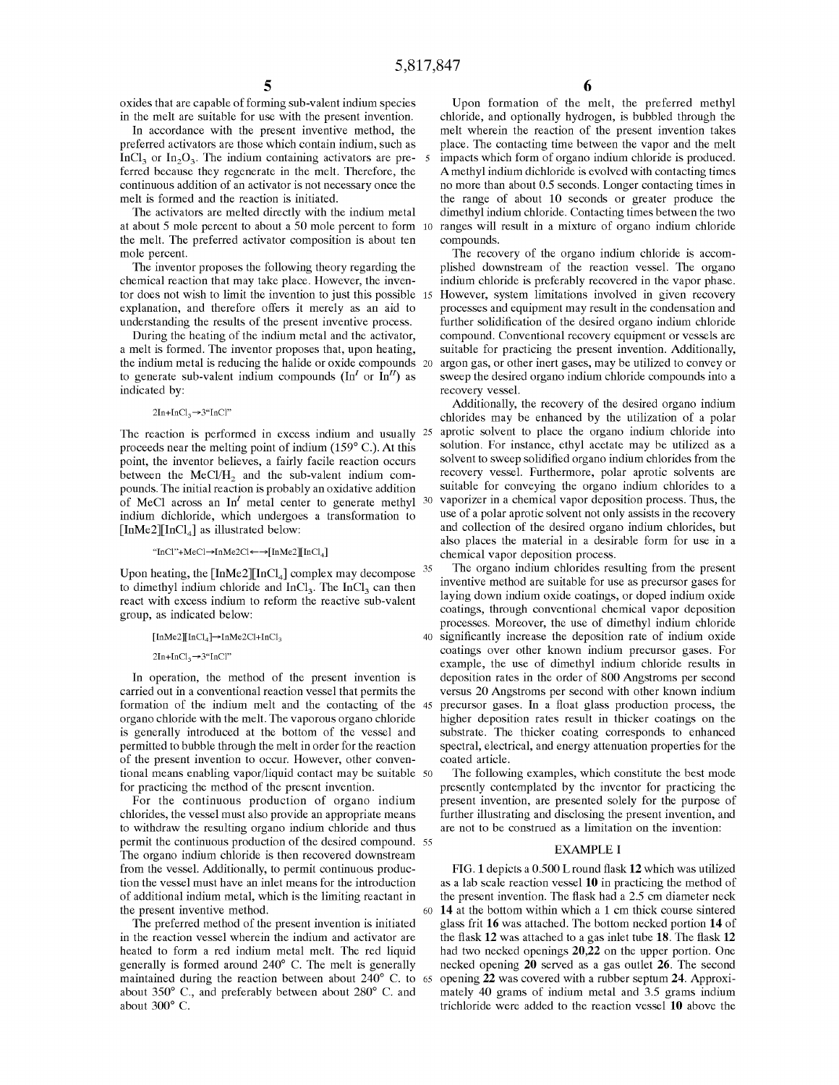oxides that are capable of forming sub-valent indium species in the melt are suitable for use with the present invention.

In accordance with the present inventive method, the preferred activators are those which contain indium, such as  $InCl<sub>3</sub>$  or  $In<sub>2</sub>O<sub>3</sub>$ . The indium containing activators are preferred because they regenerate in the melt. Therefore, the continuous addition of an activator is not necessary once the melt is formed and the reaction is initiated.

The activators are melted directly with the indium metal at about 5 mole percent to about a 50 mole percent to form 10 the melt. The preferred activator composition is about ten mole percent.

The inventor proposes the following theory regarding the chemical reaction that may take place. However, the inventor does not wish to limit the invention to just this possible 15 explanation, and therefore offers it merely as an aid to understanding the results of the present inventive process.

During the heating of the indium metal and the activator, a melt is formed. The inventor proposes that, upon heating, the indium metal is reducing the halide or oxide compounds to generate sub-valent indium compounds ( $\text{In}^I$  or  $\text{In}^I$ ) as indicated by:

#### $2In+InCl<sub>3</sub>\rightarrow 3"InCl"$

The reaction is performed in excess indium and usually <sup>25</sup> proceeds near the melting point of indium (159° C.). At this point, the inventor believes, a fairly facile reaction occurs between the  $MeCl/H$ <sub>2</sub> and the sub-valent indium compounds. The initial reaction is probably an oxidative addition of MeCl across an  $In<sup>I</sup>$  metal center to generate methyl  $30$ indium dichloride, which undergoes a transformation to  $[InMe2]$ [InCl<sub>4</sub>] as illustrated below:

# "In Cl"+ MeCl $\rightarrow$  In Me2Cl $\leftarrow$   $\rightarrow$  [In Me2][InCl<sub>4</sub>]

Upon heating, the  $[InMe2][InCl<sub>4</sub>]$  complex may decompose  $35$ to dimethyl indium chloride and  $InCl<sub>3</sub>$ . The  $InCl<sub>3</sub>$  can then react with excess indium to reform the reactive sub-valent group, as indicated below:

 $\left[\text{InMe2}\right]\left[\text{InCl}_4\right] \rightarrow \text{InMe2Cl+InCl}_3$ 

 $2In+InCl<sub>3</sub>\rightarrow 3"InCl"$ 

In operation, the method of the present invention is carried out in a conventional reaction vessel that permits the formation of the indium melt and the contacting of the organo chloride with the melt. The vaporous organo chloride is generally introduced at the bottom of the vessel and permitted to bubble through the melt in order for the reaction of the present invention to occur. However, other conven- coated article. tional means enabling vapor/liquid contact may be suitable 50 for practicing the method of the present invention.

For the continuous production of organo indium chlorides, the vessel must also provide an appropriate means to withdraw the resulting organo indium chloride and thus permit the continuous production of the desired compound. 55 The organo indium chloride is then recovered downstream from the vessel. Additionally, to permit continuous production the vessel must have an inlet means for the introduction of additional indium metal, which is the limiting reactant in the present invention. The flask had a 2.5 cm diameter neck the present inventive method.

The preferred method of the present invention is initiated in the reaction vessel wherein the indium and activator are heated to form a red indium metal melt. The red liquid generally is formed around 240° C. The melt is generally maintained during the reaction between about 240° C. to 65 about 350° C., and preferably between about 280° C. and about 300° C.

Upon formation of the melt, the preferred methyl chloride, and optionally hydrogen, is bubbled through the melt wherein the reaction of the present invention takes place. The contacting time between the vapor and the melt 5 impacts which form of organo indium chloride is produced. A methyl indium dichloride is evolved with contacting times no more than about 0.5 seconds. Longer contacting times in the range of about 10 seconds or greater produce the dimethyl indium chloride. Contacting times between the two ranges will result in a mixture of organo indium chloride compounds.

The recovery of the organo indium chloride is accomplished downstream of the reaction vessel. The organo indium chloride is preferably recovered in the vapor phase. However, system limitations involved in given recovery processes and equipment may result in the condensation and further solidification of the desired organo indium chloride compound. Conventional recovery equipment or vessels are suitable for practicing the present invention. Additionally, argon gas, or other inert gases, may be utilized to convey or sweep the desired organo indium chloride compounds into a recovery vessel.

Additionally, the recovery of the desired organo indium chlorides may be enhanced by the utilization of a polar aprotic solvent to place the organo indium chloride into solution. For instance, ethyl acetate may be utilized as a solvent to sweep solidified organo indium chlorides from the recovery vessel. Furthermore, polar aprotic solvents are suitable for conveying the organo indium chlorides to a vaporizer in a chemical vapor deposition process. Thus, the use of a polar aprotic solvent not only assists in the recovery and collection of the desired organo indium chlorides, but also places the material in a desirable form for use in a chemical vapor deposition process.

The organo indium chlorides resulting from the present inventive method are suitable for use as precursor gases for laying down indium oxide coatings, or doped indium oxide coatings, through conventional chemical vapor deposition processes. Moreover, the use of dimethyl indium chloride 40 significantly increase the deposition rate of indium oxide coatings over other known indium precursor gases. For example, the use of dimethyl indium chloride results in deposition rates in the order of 800 Angstroms per second versus 20 Angstroms per second with other known indium precursor gases. In a float glass production process, the higher deposition rates result in thicker coatings on the substrate. The thicker coating corresponds to enhanced spectral, electrical, and energy attenuation properties for the

The following examples, which constitute the best mode presently contemplated by the inventor for practicing the present invention, are presented solely for the purpose of further illustrating and disclosing the present invention, and are not to be construed as a limitation on the invention:

#### EXAMPLE I

FIG. **l** depicts a 0.500 Lround flask **12** which was utilized as a lab scale reaction vessel **10** in practicing the method of 60 **14** at the bottom within which a 1 cm thick course sintered glass frit **16** was attached. The bottom necked portion **14** of the flask **12** was attached to a gas inlet tube **18.** The flask **12**  had two necked openings **20,22** on the upper portion. One necked opening **20** served as a gas outlet **26.** The second opening **22** was covered with a rubber septum **24.** Approximately 40 grams of indium metal and 3.5 grams indium trichloride were added to the reaction vessel **10** above the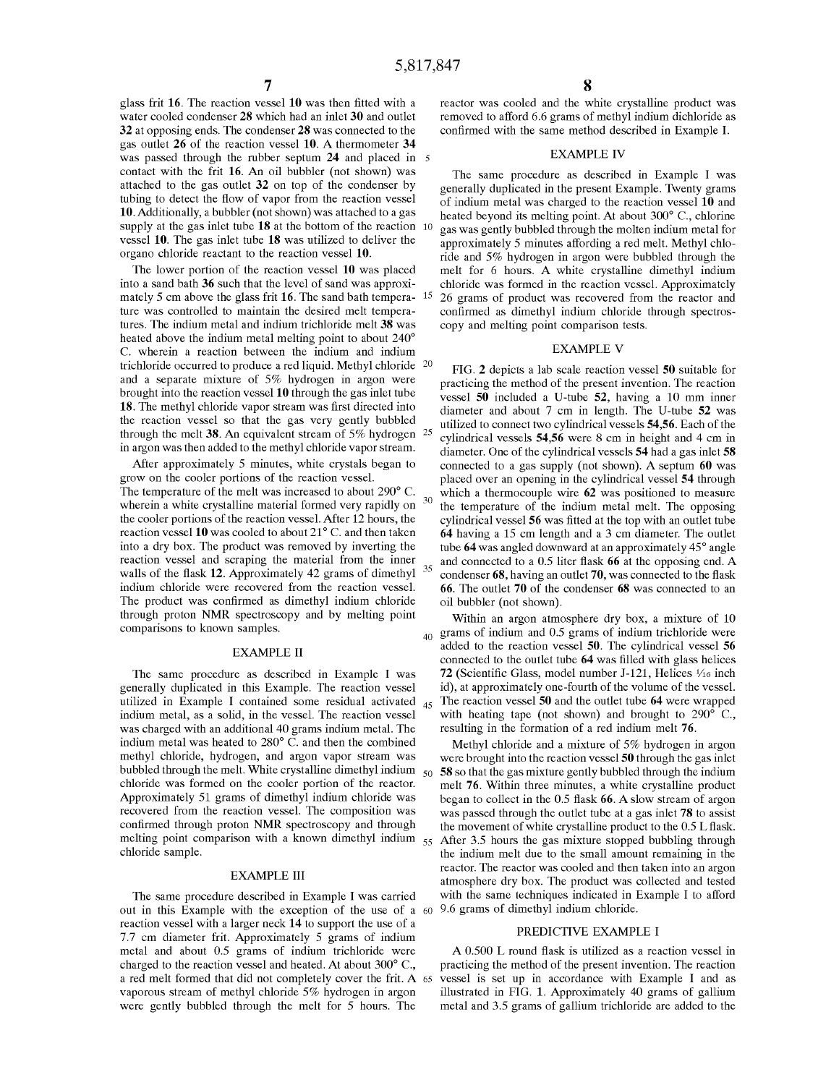glass frit **16.** The reaction vessel **10** was then fitted with a water cooled condenser **28** which had an inlet **30** and outlet **32** at opposing ends. The condenser **28** was connected to the gas outlet **26** of the reaction vessel **10. A** thermometer **34**  was passed through the rubber septum **24** and placed in 5 contact with the frit **16.** An oil bubbler (not shown) was attached to the gas outlet **32** on top of the condenser by tubing to detect the flow of vapor from the reaction vessel **10.** Additionally, a bubbler (not shown) was attached to a gas supply at the gas inlet tube **18** at the bottom of the reaction <sup>10</sup> vessel **10.** The gas inlet tube **18** was utilized to deliver the organo chloride reactant to the reaction vessel **10.** 

The lower portion of the reaction vessel **10** was placed into a sand bath **36** such that the level of sand was approximately 5 cm above the glass frit 16. The sand bath tempera- <sup>15</sup> ture was controlled to maintain the desired melt temperatures. The indium metal and indium trichloride melt **38** was heated above the indium metal melting point to about 240° C. wherein a reaction between the indium and indium trichloride occurred to produce a red liquid. Methyl chloride 20 and a separate mixture of 5% hydrogen in argon were brought into the reaction vessel **10** through the gas inlet tube **18.** The methyl chloride vapor stream was first directed into the reaction vessel so that the gas very gently bubbled through the melt **38.** An equivalent stream of 5% hydrogen 25 in argon was then added to the methyl chloride vapor stream.

After approximately 5 minutes, white crystals began to grow on the cooler portions of the reaction vessel. The temperature of the melt was increased to about 290° C. wherein a white crystalline material formed very rapidly on the cooler portions of the reaction vessel. After 12 hours, the reaction vessel 10 was cooled to about 21<sup>°</sup> C. and then taken into a dry box. The product was removed by inverting the reaction vessel and scraping the material from the inner walls of the flask **12.** Approximately 42 grams of dimethyl indium chloride were recovered from the reaction vessel. The product was confirmed as dimethyl indium chloride through proton **NMR** spectroscopy and by melting point comparisons to known samples.

### EXAMPLE II

The same procedure as described in Example I was generally duplicated in this Example. The reaction vessel utilized in Example I contained some residual activated  $_{45}$ indium metal, as a solid, in the vessel. The reaction vessel was charged with an additional 40 grams indium metal. The indium metal was heated to 280° C. and then the combined methyl chloride, hydrogen, and argon vapor stream was chloride was formed on the cooler portion of the reactor. Approximately 51 grams of dimethyl indium chloride was recovered from the reaction vessel. The composition was confirmed through proton **NMR** spectroscopy and through melting point comparison with a known dimethyl indium  $55$ chloride sample.

### EXAMPLE III

The same procedure described in Example I was carried out in this Example with the exception of the use of a reaction vessel with a larger neck **14** to support the use of a 7.7 cm diameter frit. Approximately 5 grams of indium metal and about 0.5 grams of indium trichloride were charged to the reaction vessel and heated. At about 300° C., a red melt formed that did not completely cover the frit. A 65 vaporous stream of methyl chloride 5% hydrogen in argon were gently bubbled through the melt for 5 hours. The

reactor was cooled and the white crystalline product was removed to afford 6.6 grams of methyl indium dichloride as confirmed with the same method described in Example I.

#### EXAMPLE IV

The same procedure as described in Example I was generally duplicated in the present Example. Twenty grams of indium metal was charged to the reaction vessel 10 and heated beyond its melting point. At about 300° C., chlorine gas was gently bubbled through the molten indium metal for approximately 5 minutes affording a red melt. Methyl chloride and 5% hydrogen in argon were bubbled through the melt for 6 hours. A white crystalline dimethyl indium chloride was formed in the reaction vessel. Approximately 15 26 grams of product was recovered from the reactor and confirmed as dimethyl indium chloride through spectroscopy and melting point comparison tests.

# EXAMPLE V

FIG. **2** depicts a lab scale reaction vessel **50** suitable for practicing the method of the present invention. The reaction vessel **50** included a U-tube **52,** having a 10 mm inner diameter and about 7 cm in length. The U-tube **52** was utilized to connect two cylindrical vessels **54,56.** Each of the cylindrical vessels **54,56** were 8 cm in height and 4 cm in diameter. One of the cylindrical vessels **54** had a gas inlet **58**  connected to a gas supply (not shown). **A** septum **60** was placed over an opening in the cylindrical vessel **54** through <sup>30</sup>which a thermocouple wire **62** was positioned to measure the temperature of the indium metal melt. The opposing cylindrical vessel **56** was fitted at the top with an outlet tube **64** having a 15 cm length and a 3 cm diameter. The outlet tube **64** was angled downward at an approximately 45° angle and connected to a 0.5 liter flask **66** at the opposing end. **A**  35 condenser **68,** having an outlet **70,** was connected to the flask **66.** The outlet **70** of the condenser **68** was connected to an oil bubbler (not shown).

Within an argon atmosphere dry box, a mixture of 10  $_{40}$  grams of indium and 0.5 grams of indium trichloride were added to the reaction vessel **50.** The cylindrical vessel **56**  connected to the outlet tube **64** was filled with glass helices **72** (Scientific Glass, model number J-121, Helices ½6 inch id), at approximately one-fourth of the volume of the vessel. <sup>45</sup>The reaction vessel **50** and the outlet tube **64** were wrapped with heating tape (not shown) and brought to 290° C., resulting in the formation of a red indium melt **76.** 

bubbled through the melt. White crystalline dimethyl indium 50 **58** so that the gas mixture gently bubbled through the indium Methyl chloride and a mixture of 5% hydrogen in argon were brought into the reaction vessel **50** through the gas inlet melt **76.** Within three minutes, a white crystalline product began to collect in the 0.5 flask **66. A** slow stream of argon was passed through the outlet tube at a gas inlet **78** to assist the movement of white crystalline product to the 0.5 L flask. After 3.5 hours the gas mixture stopped bubbling through the indium melt due to the small amount remaining in the reactor. The reactor was cooled and then taken into an argon atmosphere dry box. The product was collected and tested with the same techniques indicated in Example I to afford 9.6 grams of dimethyl indium chloride.

# PREDICTIVE EXAMPLE I

A 0.500 L round flask is utilized as a reaction vessel in practicing the method of the present invention. The reaction vessel is set up in accordance with Example I and as illustrated in FIG. 1. Approximately 40 grams of gallium metal and 3.5 grams of gallium trichloride are added to the